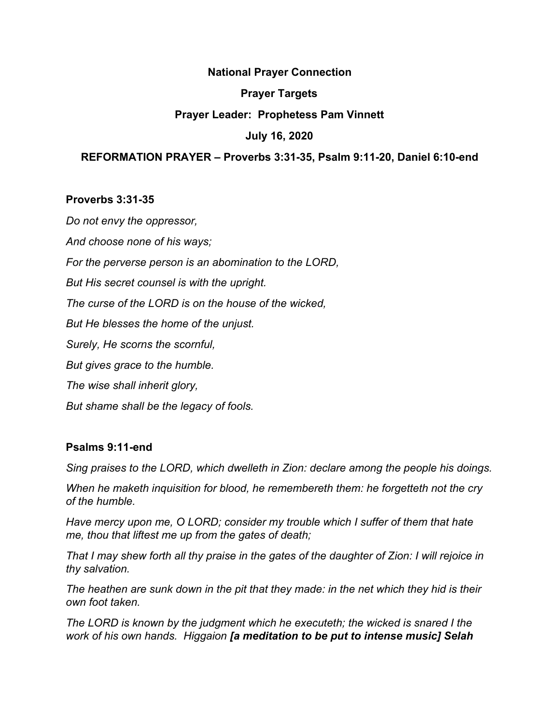#### **National Prayer Connection**

#### **Prayer Targets**

## **Prayer Leader: Prophetess Pam Vinnett**

## **July 16, 2020**

## **REFORMATION PRAYER – Proverbs 3:31-35, Psalm 9:11-20, Daniel 6:10-end**

#### **Proverbs 3:31-35**

*Do not envy the oppressor, And choose none of his ways; For the perverse person is an abomination to the LORD, But His secret counsel is with the upright. The curse of the LORD is on the house of the wicked, But He blesses the home of the unjust. Surely, He scorns the scornful, But gives grace to the humble. The wise shall inherit glory, But shame shall be the legacy of fools.*

## **Psalms 9:11-end**

*Sing praises to the LORD, which dwelleth in Zion: declare among the people his doings.*

*When he maketh inquisition for blood, he remembereth them: he forgetteth not the cry of the humble.*

*Have mercy upon me, O LORD; consider my trouble which I suffer of them that hate me, thou that liftest me up from the gates of death;*

*That I may shew forth all thy praise in the gates of the daughter of Zion: I will rejoice in thy salvation.*

*The heathen are sunk down in the pit that they made: in the net which they hid is their own foot taken.*

*The LORD is known by the judgment which he executeth; the wicked is snared I the work of his own hands. Higgaion [a meditation to be put to intense music] Selah*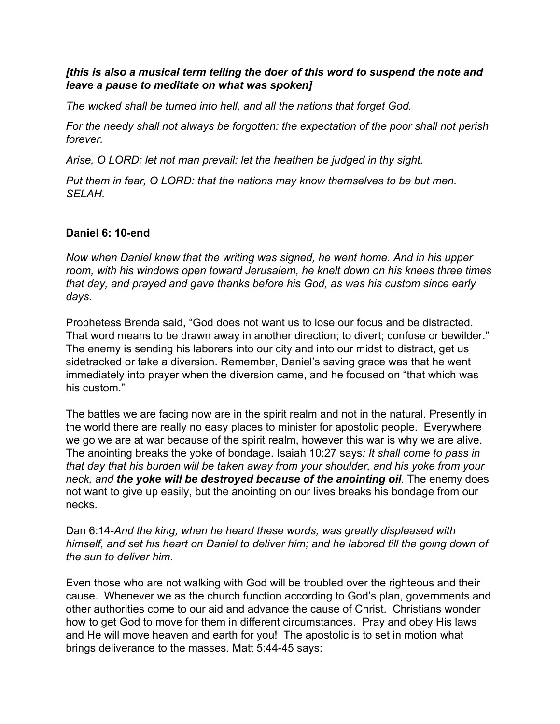# *[this is also a musical term telling the doer of this word to suspend the note and leave a pause to meditate on what was spoken]*

*The wicked shall be turned into hell, and all the nations that forget God.*

*For the needy shall not always be forgotten: the expectation of the poor shall not perish forever.*

*Arise, O LORD; let not man prevail: let the heathen be judged in thy sight.*

*Put them in fear, O LORD: that the nations may know themselves to be but men. SELAH.*

# **Daniel 6: 10-end**

*Now when Daniel knew that the writing was signed, he went home. And in his upper room, with his windows open toward Jerusalem, he knelt down on his knees three times that day, and prayed and gave thanks before his God, as was his custom since early days.*

Prophetess Brenda said, "God does not want us to lose our focus and be distracted. That word means to be drawn away in another direction; to divert; confuse or bewilder." The enemy is sending his laborers into our city and into our midst to distract, get us sidetracked or take a diversion. Remember, Daniel's saving grace was that he went immediately into prayer when the diversion came, and he focused on "that which was his custom."

The battles we are facing now are in the spirit realm and not in the natural. Presently in the world there are really no easy places to minister for apostolic people. Everywhere we go we are at war because of the spirit realm, however this war is why we are alive. The anointing breaks the yoke of bondage. Isaiah 10:27 says*: It shall come to pass in that day that his burden will be taken away from your shoulder, and his yoke from your neck, and the yoke will be destroyed because of the anointing oil.* The enemy does not want to give up easily, but the anointing on our lives breaks his bondage from our necks.

Dan 6:14-*And the king, when he heard these words, was greatly displeased with himself, and set his heart on Daniel to deliver him; and he labored till the going down of the sun to deliver him*.

Even those who are not walking with God will be troubled over the righteous and their cause. Whenever we as the church function according to God's plan, governments and other authorities come to our aid and advance the cause of Christ. Christians wonder how to get God to move for them in different circumstances. Pray and obey His laws and He will move heaven and earth for you! The apostolic is to set in motion what brings deliverance to the masses. Matt 5:44-45 says: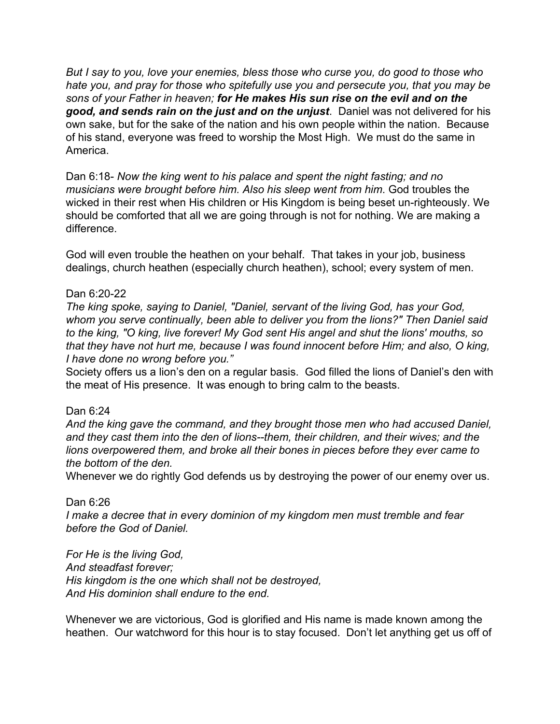*But I say to you, love your enemies, bless those who curse you, do good to those who hate you, and pray for those who spitefully use you and persecute you, that you may be sons of your Father in heaven; for He makes His sun rise on the evil and on the good, and sends rain on the just and on the unjust*. Daniel was not delivered for his own sake, but for the sake of the nation and his own people within the nation. Because of his stand, everyone was freed to worship the Most High. We must do the same in America.

Dan 6:18- *Now the king went to his palace and spent the night fasting; and no musicians were brought before him. Also his sleep went from him*. God troubles the wicked in their rest when His children or His Kingdom is being beset un-righteously. We should be comforted that all we are going through is not for nothing. We are making a difference.

God will even trouble the heathen on your behalf. That takes in your job, business dealings, church heathen (especially church heathen), school; every system of men.

# Dan 6:20-22

*The king spoke, saying to Daniel, "Daniel, servant of the living God, has your God, whom you serve continually, been able to deliver you from the lions?" Then Daniel said to the king, "O king, live forever! My God sent His angel and shut the lions' mouths, so that they have not hurt me, because I was found innocent before Him; and also, O king, I have done no wrong before you."*

Society offers us a lion's den on a regular basis. God filled the lions of Daniel's den with the meat of His presence. It was enough to bring calm to the beasts.

## Dan 6:24

*And the king gave the command, and they brought those men who had accused Daniel, and they cast them into the den of lions--them, their children, and their wives; and the lions overpowered them, and broke all their bones in pieces before they ever came to the bottom of the den.*

Whenever we do rightly God defends us by destroying the power of our enemy over us.

## Dan 6:26

*I make a decree that in every dominion of my kingdom men must tremble and fear before the God of Daniel.*

*For He is the living God, And steadfast forever; His kingdom is the one which shall not be destroyed, And His dominion shall endure to the end.*

Whenever we are victorious, God is glorified and His name is made known among the heathen. Our watchword for this hour is to stay focused. Don't let anything get us off of